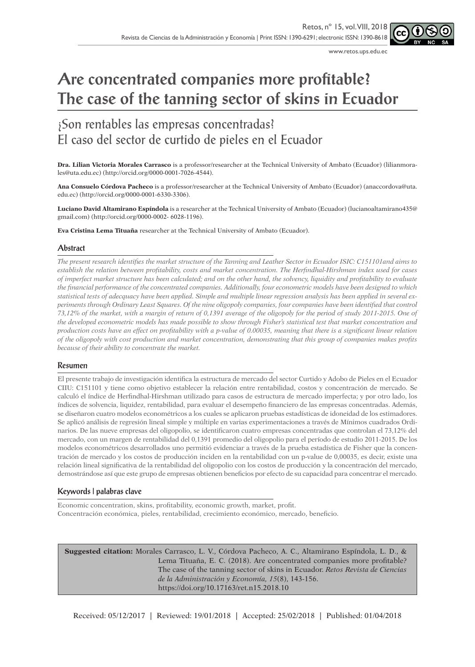www.retos.ups.edu.ec

# **Are concentrated companies more profitable? The case of the tanning sector of skins in Ecuador**

## ¿Son rentables las empresas concentradas? El caso del sector de curtido de pieles en el Ecuador

**Dra. Lilian Victoria Morales Carrasco** is a professor/researcher at the Technical University of Ambato (Ecuador) (lilianmorales@uta.edu.ec) (http://orcid.org/0000-0001-7026-4544).

**Ana Consuelo Córdova Pacheco** is a professor/researcher at the Technical University of Ambato (Ecuador) (anaccordova@uta. edu.ec) (http://orcid.org/0000-0001-6330-3306).

**Luciano David Altamirano Espíndola** is a researcher at the Technical University of Ambato (Ecuador) (lucianoaltamirano435@ gmail.com) (http://orcid.org/0000-0002- 6028-1196).

**Eva Cristina Lema Tituaña** researcher at the Technical University of Ambato (Ecuador).

#### **Abstract**

*The present research identifies the market structure of the Tanning and Leather Sector in Ecuador ISIC: C151101and aims to establish the relation between profitability, costs and market concentration. The Herfindhal-Hirshman index used for cases of imperfect market structure has been calculated; and on the other hand, the solvency, liquidity and profitability to evaluate the financial performance of the concentrated companies. Additionally, four econometric models have been designed to which statistical tests of adecquacy have been applied. Simple and multiple linear regression analysis has been applied in several experiments through Ordinary Least Squares. Of the nine oligopoly companies, four companies have been identified that control 73,12% of the market, with a margin of return of 0,1391 average of the oligopoly for the period of study 2011-2015. One of the developed econometric models has made possible to show through Fisher's statistical test that market concentration and production costs have an effect on profitability with a p-value of 0.00035, meaning that there is a significant linear relation of the oligopoly with cost production and market concentration, demonstrating that this group of companies makes profits because of their ability to concentrate the market.*

#### **Resumen**

El presente trabajo de investigación identifica la estructura de mercado del sector Curtido y Adobo de Pieles en el Ecuador CIIU: C151101 y tiene como objetivo establecer la relación entre rentabilidad, costos y concentración de mercado. Se calculó el índice de Herfindhal-Hirshman utilizado para casos de estructura de mercado imperfecta; y por otro lado, los índices de solvencia, liquidez, rentabilidad, para evaluar el desempeño financiero de las empresas concentradas. Además, se diseñaron cuatro modelos econométricos a los cuales se aplicaron pruebas estadísticas de idoneidad de los estimadores. Se aplicó análisis de regresión lineal simple y múltiple en varias experimentaciones a través de Mínimos cuadrados Ordinarios. De las nueve empresas del oligopolio, se identificaron cuatro empresas concentradas que controlan el 73,12% del mercado, con un margen de rentabilidad del 0,1391 promedio del oligopolio para el período de estudio 2011-2015. De los modelos econométricos desarrollados uno permitió evidenciar a través de la prueba estadística de Fisher que la concentración de mercado y los costos de producción inciden en la rentabilidad con un p-value de 0,00035, es decir, existe una relación lineal significativa de la rentabilidad del oligopolio con los costos de producción y la concentración del mercado, demostrándose así que este grupo de empresas obtienen beneficios por efecto de su capacidad para concentrar el mercado.

#### **Keywords | palabras clave**

Economic concentration, skins, profitability, economic growth, market, profit. Concentración económica, pieles, rentabilidad, crecimiento económico, mercado, beneficio.

**Suggested citation:** Morales Carrasco, L. V., Córdova Pacheco, A. C., Altamirano Espíndola, L. D., & Lema Tituaña, E. C. (2018). Are concentrated companies more profitable? The case of the tanning sector of skins in Ecuador. *Retos Revista de Ciencias de la Administración y Economía, 15*(8), 143-156. https://doi.org/10.17163/ret.n15.2018.10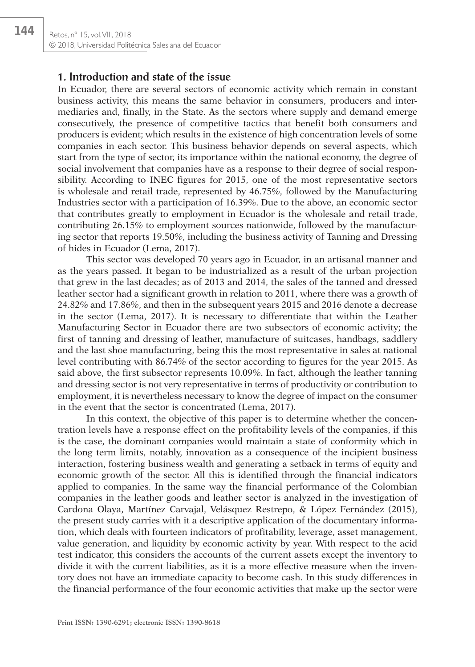#### **1. Introduction and state of the issue**

In Ecuador, there are several sectors of economic activity which remain in constant business activity, this means the same behavior in consumers, producers and intermediaries and, finally, in the State. As the sectors where supply and demand emerge consecutively, the presence of competitive tactics that benefit both consumers and producers is evident; which results in the existence of high concentration levels of some companies in each sector. This business behavior depends on several aspects, which start from the type of sector, its importance within the national economy, the degree of social involvement that companies have as a response to their degree of social responsibility. According to INEC figures for 2015, one of the most representative sectors is wholesale and retail trade, represented by 46.75%, followed by the Manufacturing Industries sector with a participation of 16.39%. Due to the above, an economic sector that contributes greatly to employment in Ecuador is the wholesale and retail trade, contributing 26.15% to employment sources nationwide, followed by the manufacturing sector that reports 19.50%, including the business activity of Tanning and Dressing of hides in Ecuador (Lema, 2017).

This sector was developed 70 years ago in Ecuador, in an artisanal manner and as the years passed. It began to be industrialized as a result of the urban projection that grew in the last decades; as of 2013 and 2014, the sales of the tanned and dressed leather sector had a significant growth in relation to 2011, where there was a growth of 24.82% and 17.86%, and then in the subsequent years 2015 and 2016 denote a decrease in the sector (Lema, 2017). It is necessary to differentiate that within the Leather Manufacturing Sector in Ecuador there are two subsectors of economic activity; the first of tanning and dressing of leather, manufacture of suitcases, handbags, saddlery and the last shoe manufacturing, being this the most representative in sales at national level contributing with 86.74% of the sector according to figures for the year 2015. As said above, the first subsector represents 10.09%. In fact, although the leather tanning and dressing sector is not very representative in terms of productivity or contribution to employment, it is nevertheless necessary to know the degree of impact on the consumer in the event that the sector is concentrated (Lema, 2017).

In this context, the objective of this paper is to determine whether the concentration levels have a response effect on the profitability levels of the companies, if this is the case, the dominant companies would maintain a state of conformity which in the long term limits, notably, innovation as a consequence of the incipient business interaction, fostering business wealth and generating a setback in terms of equity and economic growth of the sector. All this is identified through the financial indicators applied to companies. In the same way the financial performance of the Colombian companies in the leather goods and leather sector is analyzed in the investigation of Cardona Olaya, Martínez Carvajal, Velásquez Restrepo, & López Fernández (2015), the present study carries with it a descriptive application of the documentary information, which deals with fourteen indicators of profitability, leverage, asset management, value generation, and liquidity by economic activity by year. With respect to the acid test indicator, this considers the accounts of the current assets except the inventory to divide it with the current liabilities, as it is a more effective measure when the inventory does not have an immediate capacity to become cash. In this study differences in the financial performance of the four economic activities that make up the sector were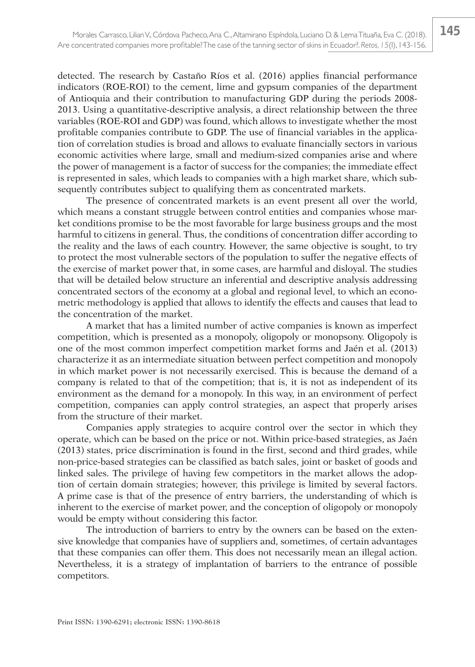detected. The research by Castaño Ríos et al. (2016) applies financial performance indicators (ROE-ROI) to the cement, lime and gypsum companies of the department of Antioquia and their contribution to manufacturing GDP during the periods 2008- 2013. Using a quantitative-descriptive analysis, a direct relationship between the three variables (ROE-ROI and GDP) was found, which allows to investigate whether the most profitable companies contribute to GDP. The use of financial variables in the application of correlation studies is broad and allows to evaluate financially sectors in various economic activities where large, small and medium-sized companies arise and where the power of management is a factor of success for the companies; the immediate effect is represented in sales, which leads to companies with a high market share, which subsequently contributes subject to qualifying them as concentrated markets.

The presence of concentrated markets is an event present all over the world, which means a constant struggle between control entities and companies whose market conditions promise to be the most favorable for large business groups and the most harmful to citizens in general. Thus, the conditions of concentration differ according to the reality and the laws of each country. However, the same objective is sought, to try to protect the most vulnerable sectors of the population to suffer the negative effects of the exercise of market power that, in some cases, are harmful and disloyal. The studies that will be detailed below structure an inferential and descriptive analysis addressing concentrated sectors of the economy at a global and regional level, to which an econometric methodology is applied that allows to identify the effects and causes that lead to the concentration of the market.

A market that has a limited number of active companies is known as imperfect competition, which is presented as a monopoly, oligopoly or monopsony. Oligopoly is one of the most common imperfect competition market forms and Jaén et al. (2013) characterize it as an intermediate situation between perfect competition and monopoly in which market power is not necessarily exercised. This is because the demand of a company is related to that of the competition; that is, it is not as independent of its environment as the demand for a monopoly. In this way, in an environment of perfect competition, companies can apply control strategies, an aspect that properly arises from the structure of their market.

Companies apply strategies to acquire control over the sector in which they operate, which can be based on the price or not. Within price-based strategies, as Jaén (2013) states, price discrimination is found in the first, second and third grades, while non-price-based strategies can be classified as batch sales, joint or basket of goods and linked sales. The privilege of having few competitors in the market allows the adoption of certain domain strategies; however, this privilege is limited by several factors. A prime case is that of the presence of entry barriers, the understanding of which is inherent to the exercise of market power, and the conception of oligopoly or monopoly would be empty without considering this factor.

The introduction of barriers to entry by the owners can be based on the extensive knowledge that companies have of suppliers and, sometimes, of certain advantages that these companies can offer them. This does not necessarily mean an illegal action. Nevertheless, it is a strategy of implantation of barriers to the entrance of possible competitors.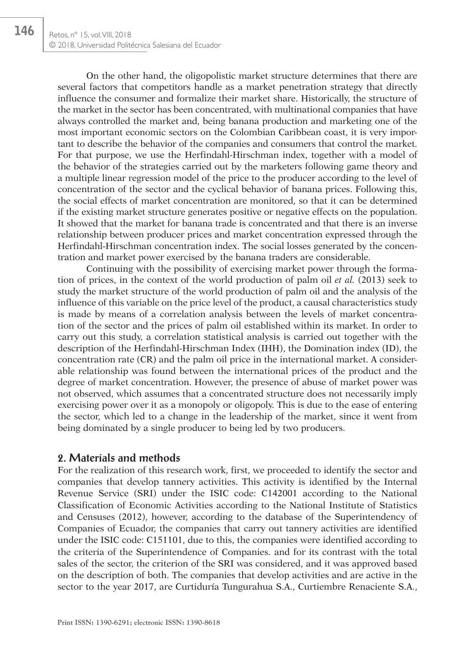146

On the other hand, the oligopolistic market structure determines that there are several factors that competitors handle as a market penetration strategy that directly influence the consumer and formalize their market share. Historically, the structure of the market in the sector has been concentrated, with multinational companies that have always controlled the market and, being banana production and marketing one of the most important economic sectors on the Colombian Caribbean coast, it is very important to describe the behavior of the companies and consumers that control the market. For that purpose, we use the Herfindahl-Hirschman index, together with a model of the behavior of the strategies carried out by the marketers following game theory and a multiple linear regression model of the price to the producer according to the level of concentration of the sector and the cyclical behavior of banana prices. Following this, the social effects of market concentration are monitored, so that it can be determined if the existing market structure generates positive or negative effects on the population. It showed that the market for banana trade is concentrated and that there is an inverse relationship between producer prices and market concentration expressed through the Herfindahl-Hirschman concentration index. The social losses generated by the concentration and market power exercised by the banana traders are considerable.

Continuing with the possibility of exercising market power through the formation of prices, in the context of the world production of palm oil *et al.* (2013) seek to study the market structure of the world production of palm oil and the analysis of the influence of this variable on the price level of the product, a causal characteristics study is made by means of a correlation analysis between the levels of market concentration of the sector and the prices of palm oil established within its market. In order to carry out this study, a correlation statistical analysis is carried out together with the description of the Herfindahl-Hirschman Index (IHH), the Domination index (ID), the concentration rate (CR) and the palm oil price in the international market. A considerable relationship was found between the international prices of the product and the degree of market concentration. However, the presence of abuse of market power was not observed, which assumes that a concentrated structure does not necessarily imply exercising power over it as a monopoly or oligopoly. This is due to the ease of entering the sector, which led to a change in the leadership of the market, since it went from being dominated by a single producer to being led by two producers.

### **2. Materials and methods**

For the realization of this research work, first, we proceeded to identify the sector and companies that develop tannery activities. This activity is identified by the Internal Revenue Service (SRI) under the ISIC code: C142001 according to the National Classification of Economic Activities according to the National Institute of Statistics and Censuses (2012), however, according to the database of the Superintendency of Companies of Ecuador, the companies that carry out tannery activities are identified under the ISIC code: C151101, due to this, the companies were identified according to the criteria of the Superintendence of Companies. and for its contrast with the total sales of the sector, the criterion of the SRI was considered, and it was approved based on the description of both. The companies that develop activities and are active in the sector to the year 2017, are Curtiduría Tungurahua S.A., Curtiembre Renaciente S.A.,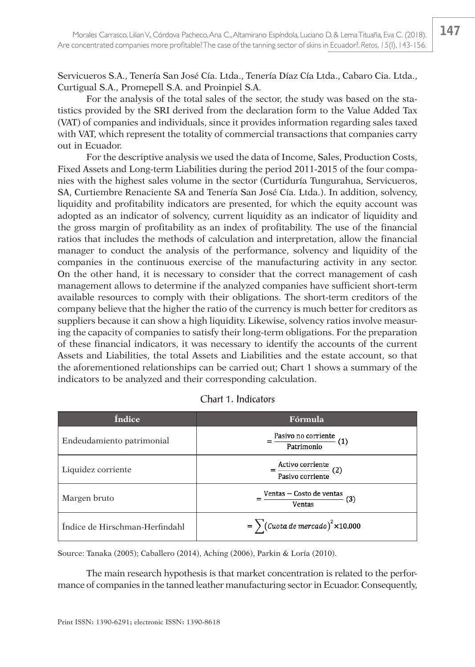Servicueros S.A., Tenería San José Cía. Ltda., Tenería Díaz Cía Ltda., Cabaro Cia. Ltda., Curtigual S.A., Promepell S.A. and Proinpiel S.A.

For the analysis of the total sales of the sector, the study was based on the statistics provided by the SRI derived from the declaration form to the Value Added Tax (VAT) of companies and individuals, since it provides information regarding sales taxed with VAT, which represent the totality of commercial transactions that companies carry out in Ecuador.

For the descriptive analysis we used the data of Income, Sales, Production Costs, Fixed Assets and Long-term Liabilities during the period 2011-2015 of the four companies with the highest sales volume in the sector (Curtiduría Tungurahua, Servicueros, SA, Curtiembre Renaciente SA and Tenería San José Cía. Ltda.). In addition, solvency, liquidity and profitability indicators are presented, for which the equity account was adopted as an indicator of solvency, current liquidity as an indicator of liquidity and the gross margin of profitability as an index of profitability. The use of the financial ratios that includes the methods of calculation and interpretation, allow the financial manager to conduct the analysis of the performance, solvency and liquidity of the companies in the continuous exercise of the manufacturing activity in any sector. On the other hand, it is necessary to consider that the correct management of cash management allows to determine if the analyzed companies have sufficient short-term available resources to comply with their obligations. The short-term creditors of the company believe that the higher the ratio of the currency is much better for creditors as suppliers because it can show a high liquidity. Likewise, solvency ratios involve measuring the capacity of companies to satisfy their long-term obligations. For the preparation of these financial indicators, it was necessary to identify the accounts of the current Assets and Liabilities, the total Assets and Liabilities and the estate account, so that the aforementioned relationships can be carried out; Chart 1 shows a summary of the indicators to be analyzed and their corresponding calculation.

| <b>Índice</b>                  | Fórmula                                     |
|--------------------------------|---------------------------------------------|
| Endeudamiento patrimonial      | Pasivo no corriente<br>(1)<br>Patrimonio    |
| Liquidez corriente             | Activo corriente<br>(2)<br>Pasivo corriente |
| Margen bruto                   | Ventas - Costo de ventas<br>(3)<br>Ventas   |
| Índice de Hirschman-Herfindahl | $=\sum ($ Cuota de mercado $)^2$ ×10.000    |

Source: Tanaka (2005); Caballero (2014), Aching (2006), Parkin & Loría (2010).

The main research hypothesis is that market concentration is related to the performance of companies in the tanned leather manufacturing sector in Ecuador. Consequently,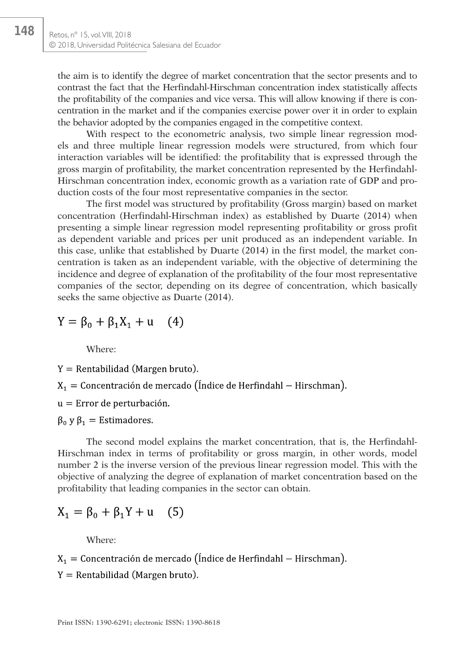the aim is to identify the degree of market concentration that the sector presents and to contrast the fact that the Herfindahl-Hirschman concentration index statistically affects the profitability of the companies and vice versa. This will allow knowing if there is concentration in the market and if the companies exercise power over it in order to explain the behavior adopted by the companies engaged in the competitive context.

With respect to the econometric analysis, two simple linear regression models and three multiple linear regression models were structured, from which four interaction variables will be identified: the profitability that is expressed through the gross margin of profitability, the market concentration represented by the Herfindahl-Hirschman concentration index, economic growth as a variation rate of GDP and production costs of the four most representative companies in the sector.

The first model was structured by profitability (Gross margin) based on market concentration (Herfindahl-Hirschman index) as established by Duarte (2014) when presenting a simple linear regression model representing profitability or gross profit as dependent variable and prices per unit produced as an independent variable. In this case, unlike that established by Duarte (2014) in the first model, the market concentration is taken as an independent variable, with the objective of determining the incidence and degree of explanation of the profitability of the four most representative companies of the sector, depending on its degree of concentration, which basically seeks the same objective as Duarte (2014).

$$
Y = \beta_0 + \beta_1 X_1 + u \quad (4)
$$

Where:

 $Y =$  Rentabilidad (Margen bruto).

 $X_1$  = Concentración de mercado (Índice de Herfindahl – Hirschman).

 $u =$  Error de perturbación.

 $\beta_0$  y  $\beta_1$  = Estimadores.

The second model explains the market concentration, that is, the Herfindahl-Hirschman index in terms of profitability or gross margin, in other words, model number 2 is the inverse version of the previous linear regression model. This with the objective of analyzing the degree of explanation of market concentration based on the profitability that leading companies in the sector can obtain.

$$
X_1 = \beta_0 + \beta_1 Y + u \quad (5)
$$

Where:

 $X_1$  = Concentración de mercado (Índice de Herfindahl – Hirschman).

 $Y =$  Rentabilidad (Margen bruto).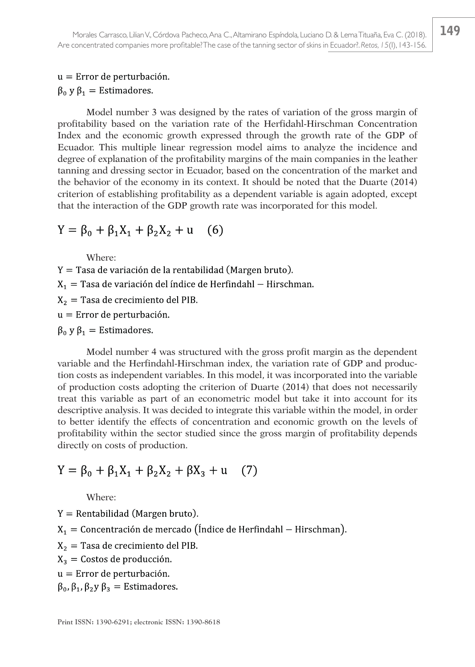### $u =$  Error de perturbación.  $\beta_0$  y  $\beta_1$  = Estimadores.

Model number 3 was designed by the rates of variation of the gross margin of profitability based on the variation rate of the Herfidahl-Hirschman Concentration Index and the economic growth expressed through the growth rate of the GDP of Ecuador. This multiple linear regression model aims to analyze the incidence and degree of explanation of the profitability margins of the main companies in the leather tanning and dressing sector in Ecuador, based on the concentration of the market and the behavior of the economy in its context. It should be noted that the Duarte (2014) criterion of establishing profitability as a dependent variable is again adopted, except that the interaction of the GDP growth rate was incorporated for this model.

$$
Y = \beta_0 + \beta_1 X_1 + \beta_2 X_2 + u \quad (6)
$$

Where:

 $Y =$ Tasa de variación de la rentabilidad (Margen bruto).  $X_1$  = Tasa de variación del índice de Herfindahl - Hirschman.  $X_2$  = Tasa de crecimiento del PIB.  $u =$  Error de perturbación.  $\beta_0$  y  $\beta_1$  = Estimadores.

Model number 4 was structured with the gross profit margin as the dependent variable and the Herfindahl-Hirschman index, the variation rate of GDP and production costs as independent variables. In this model, it was incorporated into the variable of production costs adopting the criterion of Duarte (2014) that does not necessarily treat this variable as part of an econometric model but take it into account for its descriptive analysis. It was decided to integrate this variable within the model, in order to better identify the effects of concentration and economic growth on the levels of profitability within the sector studied since the gross margin of profitability depends directly on costs of production.

#### $Y = \beta_0 + \beta_1 X_1 + \beta_2 X_2 + \beta X_3 + u$  $(7)$

Where:

 $Y =$  Rentabilidad (Margen bruto).

 $X_1$  = Concentración de mercado (Índice de Herfindahl – Hirschman).

 $X_2$  = Tasa de crecimiento del PIB.

 $X_3$  = Costos de producción.

 $u =$  Error de perturbación.

 $\beta_0$ ,  $\beta_1$ ,  $\beta_2$ y  $\beta_3$  = Estimadores.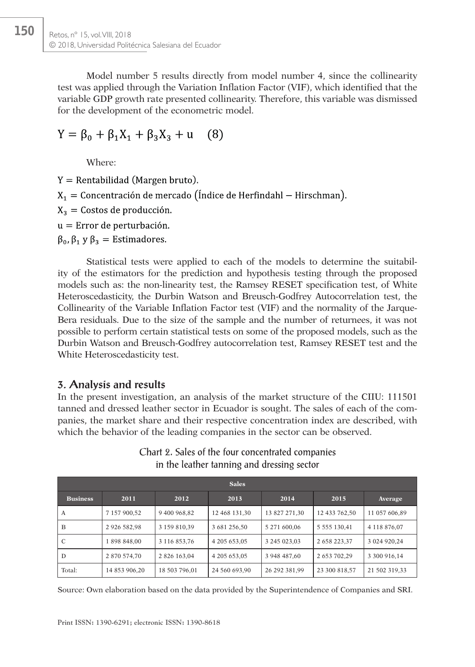Model number 5 results directly from model number 4, since the collinearity test was applied through the Variation Inflation Factor (VIF), which identified that the variable GDP growth rate presented collinearity. Therefore, this variable was dismissed for the development of the econometric model.

 $Y = \beta_0 + \beta_1 X_1 + \beta_3 X_3 + u$  $(8)$ 

Where:

150

 $Y =$  Rentabilidad (Margen bruto).

 $X_1$  = Concentración de mercado (Índice de Herfindahl – Hirschman).

 $X_3$  = Costos de producción.

 $u =$  Error de perturbación.

 $\beta_0$ ,  $\beta_1$  y  $\beta_3$  = Estimadores.

Statistical tests were applied to each of the models to determine the suitability of the estimators for the prediction and hypothesis testing through the proposed models such as: the non-linearity test, the Ramsey RESET specification test, of White Heteroscedasticity, the Durbin Watson and Breusch-Godfrey Autocorrelation test, the Collinearity of the Variable Inflation Factor test (VIF) and the normality of the Jarque-Bera residuals. Due to the size of the sample and the number of returnees, it was not possible to perform certain statistical tests on some of the proposed models, such as the Durbin Watson and Breusch-Godfrey autocorrelation test, Ramsey RESET test and the White Heteroscedasticity test.

### **3. Analysis and results**

In the present investigation, an analysis of the market structure of the CIIU: 111501 tanned and dressed leather sector in Ecuador is sought. The sales of each of the companies, the market share and their respective concentration index are described, with which the behavior of the leading companies in the sector can be observed.

| <b>Sales</b>    |               |               |               |               |                     |               |  |
|-----------------|---------------|---------------|---------------|---------------|---------------------|---------------|--|
| <b>Business</b> | 2011          | 2012          | 2013          | 2014          | 2015                | Average       |  |
| А               | 7 157 900.52  | 9 400 968.82  | 12 468 131.30 | 13 827 271.30 | 12 433 762.50       | 11 057 606.89 |  |
| B               | 2 926 582.98  | 3 159 810.39  | 3 681 256.50  | 5 271 600.06  | 5 5 5 5 1 3 0 . 4 1 | 4 118 876,07  |  |
| C               | 1898848.00    | 3 116 853.76  | 4 205 653.05  | 3 245 023.03  | 2 658 223.37        | 3 024 920.24  |  |
| D               | 2 870 574.70  | 2 826 163.04  | 4 205 653.05  | 3 948 487.60  | 2 653 702.29        | 3 300 916,14  |  |
| Total:          | 14 853 906,20 | 18 503 796,01 | 24 560 693,90 | 26 292 381,99 | 23 300 818,57       | 21 502 319,33 |  |

Chart 2. Sales of the four concentrated companies in the leather tanning and dressing sector

Source: Own elaboration based on the data provided by the Superintendence of Companies and SRI.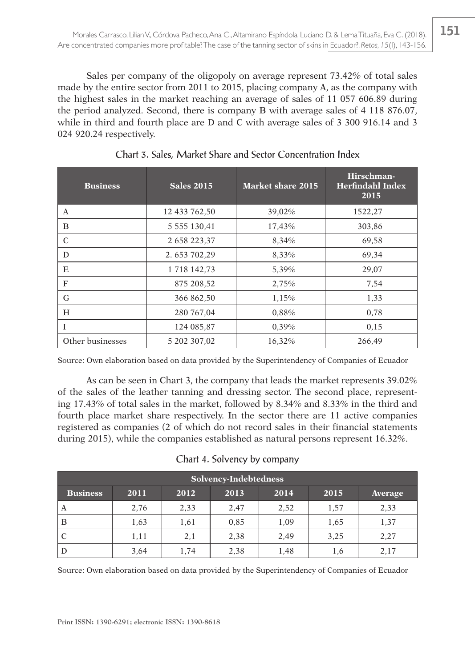Sales per company of the oligopoly on average represent 73.42% of total sales made by the entire sector from 2011 to 2015, placing company A, as the company with the highest sales in the market reaching an average of sales of 11 057 606.89 during the period analyzed. Second, there is company B with average sales of 4 118 876.07, while in third and fourth place are D and C with average sales of 3 300 916.14 and 3 024 920.24 respectively.

| <b>Business</b>  | <b>Sales 2015</b>   | Market share 2015 | Hirschman-<br><b>Herfindahl Index</b><br>2015 |
|------------------|---------------------|-------------------|-----------------------------------------------|
| A                | 12 433 762,50       | 39,02%            | 1522,27                                       |
| B                | 5 5 5 5 1 3 0 , 4 1 | 17,43%            | 303,86                                        |
| C                | 2 658 223,37        | 8,34%             | 69,58                                         |
| D                | 2.653 702,29        | 8,33%             | 69,34                                         |
| E                | 1 718 142,73        | 5,39%             | 29,07                                         |
| F                | 875 208,52          | 2,75%             | 7,54                                          |
| G                | 366 862,50          | 1,15%             | 1,33                                          |
| H                | 280 767,04          | 0,88%             | 0,78                                          |
| T                | 124 085,87          | 0.39%             | 0.15                                          |
| Other businesses | 5 202 307,02        | 16,32%            | 266,49                                        |

Chart 3. Sales, Market Share and Sector Concentration Index

Source: Own elaboration based on data provided by the Superintendency of Companies of Ecuador

As can be seen in Chart 3, the company that leads the market represents 39.02% of the sales of the leather tanning and dressing sector. The second place, representing 17.43% of total sales in the market, followed by 8.34% and 8.33% in the third and fourth place market share respectively. In the sector there are 11 active companies registered as companies (2 of which do not record sales in their financial statements during 2015), while the companies established as natural persons represent 16.32%.

|  | Chart 4. Solvency by company |  |  |
|--|------------------------------|--|--|
|--|------------------------------|--|--|

| Solvency-Indebtedness                                              |      |      |      |      |      |      |  |
|--------------------------------------------------------------------|------|------|------|------|------|------|--|
| 2011<br>2013<br>2014<br>2012<br>2015<br><b>Business</b><br>Average |      |      |      |      |      |      |  |
| А                                                                  | 2,76 | 2,33 | 2,47 | 2,52 | 1,57 | 2,33 |  |
| B                                                                  | 1,63 | 1,61 | 0.85 | 1,09 | 1,65 | 1,37 |  |
|                                                                    | 1,11 | 2,1  | 2,38 | 2,49 | 3,25 | 2,27 |  |
| D                                                                  | 3,64 | 1,74 | 2,38 | 1,48 | 1,6  | 2,17 |  |

Source: Own elaboration based on data provided by the Superintendency of Companies of Ecuador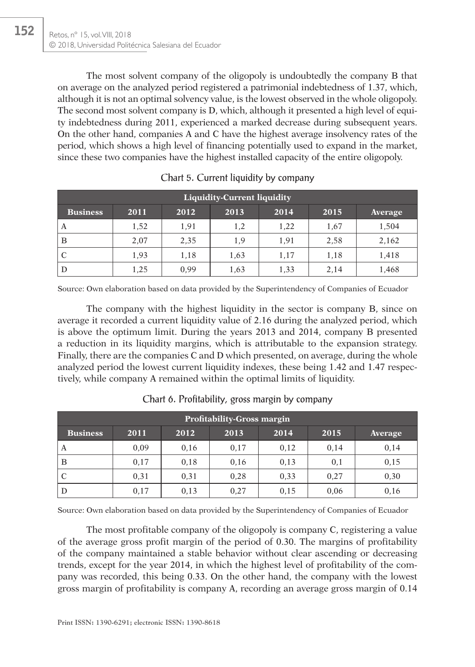152

The most solvent company of the oligopoly is undoubtedly the company B that on average on the analyzed period registered a patrimonial indebtedness of 1.37, which, although it is not an optimal solvency value, is the lowest observed in the whole oligopoly. The second most solvent company is D, which, although it presented a high level of equity indebtedness during 2011, experienced a marked decrease during subsequent years. On the other hand, companies A and C have the highest average insolvency rates of the period, which shows a high level of financing potentially used to expand in the market, since these two companies have the highest installed capacity of the entire oligopoly.

| <b>Liquidity-Current liquidity</b>                                 |      |      |      |      |      |       |  |  |
|--------------------------------------------------------------------|------|------|------|------|------|-------|--|--|
| <b>Business</b><br>2012<br>2013<br>2014<br>2015<br>2011<br>Average |      |      |      |      |      |       |  |  |
| A                                                                  | 1,52 | 1,91 | 1,2  | 1,22 | 1,67 | 1,504 |  |  |
| B                                                                  | 2,07 | 2,35 | 1,9  | 1,91 | 2,58 | 2,162 |  |  |
|                                                                    | 1,93 | 1,18 | 1,63 | 1,17 | 1,18 | 1,418 |  |  |
| D                                                                  | 1,25 | 0,99 | 1,63 | 1,33 | 2,14 | 1,468 |  |  |

|  |  |  |  | Chart 5. Current liquidity by company |
|--|--|--|--|---------------------------------------|
|--|--|--|--|---------------------------------------|

Source: Own elaboration based on data provided by the Superintendency of Companies of Ecuador

The company with the highest liquidity in the sector is company B, since on average it recorded a current liquidity value of 2.16 during the analyzed period, which is above the optimum limit. During the years 2013 and 2014, company B presented a reduction in its liquidity margins, which is attributable to the expansion strategy. Finally, there are the companies C and D which presented, on average, during the whole analyzed period the lowest current liquidity indexes, these being 1.42 and 1.47 respectively, while company A remained within the optimal limits of liquidity.

| <b>Profitability-Gross margin</b> |                                                        |      |      |      |      |      |  |  |  |
|-----------------------------------|--------------------------------------------------------|------|------|------|------|------|--|--|--|
| <b>Business</b>                   | 2011<br>2013<br>2014<br>2015<br>2012<br><b>Average</b> |      |      |      |      |      |  |  |  |
| A                                 | 0.09                                                   | 0.16 | 0.17 | 0,12 | 0.14 | 0,14 |  |  |  |
| B                                 | 0.17                                                   | 0.18 | 0.16 | 0,13 | 0,1  | 0,15 |  |  |  |
|                                   | 0,31                                                   | 0,31 | 0,28 | 0,33 | 0,27 | 0,30 |  |  |  |
| D                                 | 0.17                                                   | 0.13 | 0,27 | 0,15 | 0,06 | 0.16 |  |  |  |

Chart 6. Profitability, gross margin by company

Source: Own elaboration based on data provided by the Superintendency of Companies of Ecuador

The most profitable company of the oligopoly is company C, registering a value of the average gross profit margin of the period of 0.30. The margins of profitability of the company maintained a stable behavior without clear ascending or decreasing trends, except for the year 2014, in which the highest level of profitability of the company was recorded, this being 0.33. On the other hand, the company with the lowest gross margin of profitability is company A, recording an average gross margin of 0.14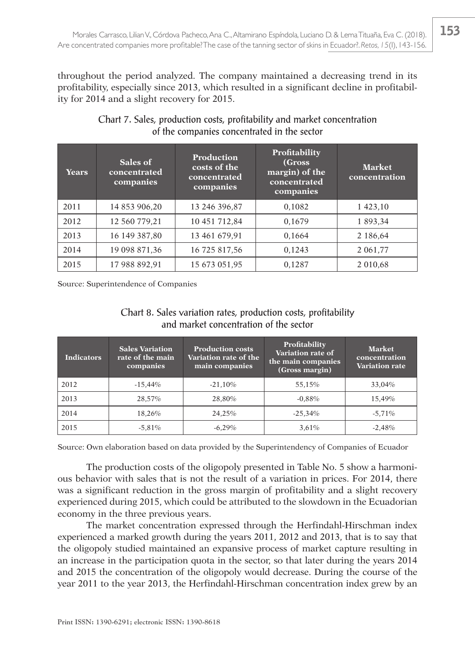throughout the period analyzed. The company maintained a decreasing trend in its profitability, especially since 2013, which resulted in a significant decline in profitability for 2014 and a slight recovery for 2015.

| <b>Years</b> | Sales of<br>concentrated<br>companies | <b>Production</b><br>costs of the<br>concentrated<br>companies | <b>Profitability</b><br>(Gross)<br>margin) of the<br>concentrated<br>companies | <b>Market</b><br>concentration |
|--------------|---------------------------------------|----------------------------------------------------------------|--------------------------------------------------------------------------------|--------------------------------|
| 2011         | 14 853 906,20                         | 13 246 396,87                                                  | 0.1082                                                                         | 1 423,10                       |
| 2012         | 12 560 779,21                         | 10 451 712,84                                                  | 0.1679                                                                         | 1 893,34                       |
| 2013         | 16 149 387,80                         | 13 461 679,91                                                  | 0,1664                                                                         | 2 186,64                       |
| 2014         | 19 098 871,36                         | 16 725 817,56                                                  | 0,1243                                                                         | 2 0 6 1 , 7 7                  |
| 2015         | 17 988 892,91                         | 15 673 051,95                                                  | 0,1287                                                                         | 2 010,68                       |

### Chart 7. Sales, production costs, profitability and market concentration of the companies concentrated in the sector

Source: Superintendence of Companies

### Chart 8. Sales variation rates, production costs, profitability and market concentration of the sector

| <b>Indicators</b> | <b>Sales Variation</b><br>rate of the main<br>companies | <b>Production costs</b><br>Variation rate of the<br>main companies | Profitability<br>Variation rate of<br>the main companies<br>(Gross margin) | <b>Market</b><br>concentration<br><b>Variation rate</b> |
|-------------------|---------------------------------------------------------|--------------------------------------------------------------------|----------------------------------------------------------------------------|---------------------------------------------------------|
| 2012              | $-15,44%$                                               | $-21,10%$                                                          | 55,15%                                                                     | 33,04%                                                  |
| 2013              | 28.57%                                                  | 28.80%                                                             | $-0.88%$                                                                   | 15.49%                                                  |
| 2014              | 18.26%                                                  | 24,25%                                                             | $-25,34%$                                                                  | $-5.71%$                                                |
| 2015              | $-5,81%$                                                | $-6.29%$                                                           | 3,61%                                                                      | $-2,48%$                                                |

Source: Own elaboration based on data provided by the Superintendency of Companies of Ecuador

The production costs of the oligopoly presented in Table No. 5 show a harmonious behavior with sales that is not the result of a variation in prices. For 2014, there was a significant reduction in the gross margin of profitability and a slight recovery experienced during 2015, which could be attributed to the slowdown in the Ecuadorian economy in the three previous years.

The market concentration expressed through the Herfindahl-Hirschman index experienced a marked growth during the years 2011, 2012 and 2013, that is to say that the oligopoly studied maintained an expansive process of market capture resulting in an increase in the participation quota in the sector, so that later during the years 2014 and 2015 the concentration of the oligopoly would decrease. During the course of the year 2011 to the year 2013, the Herfindahl-Hirschman concentration index grew by an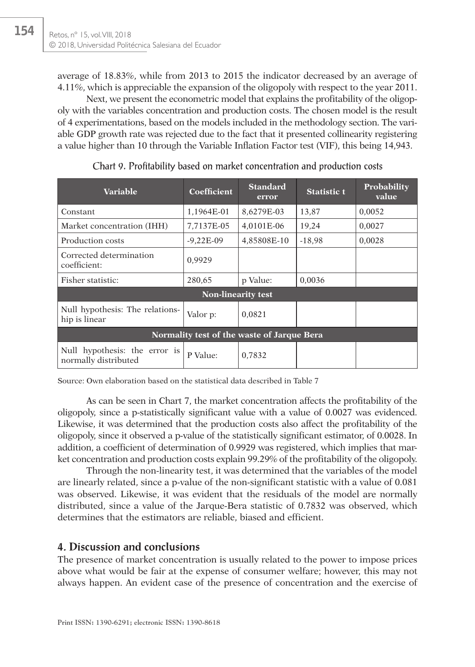154

average of 18.83%, while from 2013 to 2015 the indicator decreased by an average of 4.11%, which is appreciable the expansion of the oligopoly with respect to the year 2011.

Next, we present the econometric model that explains the profitability of the oligopoly with the variables concentration and production costs. The chosen model is the result of 4 experimentations, based on the models included in the methodology section. The variable GDP growth rate was rejected due to the fact that it presented collinearity registering a value higher than 10 through the Variable Inflation Factor test (VIF), this being 14,943.

| <b>Variable</b>                                       | Coefficient               | <b>Standard</b><br>error | <b>Statistic t</b> | Probability<br>value |  |  |  |
|-------------------------------------------------------|---------------------------|--------------------------|--------------------|----------------------|--|--|--|
| Constant                                              | 1,1964E-01                | 8,6279E-03               | 13,87              | 0,0052               |  |  |  |
| Market concentration (IHH)                            | 7.7137E-05                | 4.0101E-06               | 19,24              | 0.0027               |  |  |  |
| Production costs                                      | $-9,22E-09$               | 4,85808E-10              | $-18,98$           | 0,0028               |  |  |  |
| Corrected determination<br>coefficient:               | 0.9929                    |                          |                    |                      |  |  |  |
| Fisher statistic:                                     | 280,65                    | p Value:                 | 0,0036             |                      |  |  |  |
|                                                       | <b>Non-linearity test</b> |                          |                    |                      |  |  |  |
| Null hypothesis: The relations-<br>hip is linear      | Valor p:                  | 0.0821                   |                    |                      |  |  |  |
| Normality test of the waste of Jarque Bera            |                           |                          |                    |                      |  |  |  |
| Null hypothesis: the error is<br>normally distributed | P Value:                  | 0.7832                   |                    |                      |  |  |  |

Chart 9. Profitability based on market concentration and production costs

Source: Own elaboration based on the statistical data described in Table 7

As can be seen in Chart 7, the market concentration affects the profitability of the oligopoly, since a p-statistically significant value with a value of 0.0027 was evidenced. Likewise, it was determined that the production costs also affect the profitability of the oligopoly, since it observed a p-value of the statistically significant estimator, of 0.0028. In addition, a coefficient of determination of 0.9929 was registered, which implies that market concentration and production costs explain 99.29% of the profitability of the oligopoly.

Through the non-linearity test, it was determined that the variables of the model are linearly related, since a p-value of the non-significant statistic with a value of 0.081 was observed. Likewise, it was evident that the residuals of the model are normally distributed, since a value of the Jarque-Bera statistic of 0.7832 was observed, which determines that the estimators are reliable, biased and efficient.

### **4. Discussion and conclusions**

The presence of market concentration is usually related to the power to impose prices above what would be fair at the expense of consumer welfare; however, this may not always happen. An evident case of the presence of concentration and the exercise of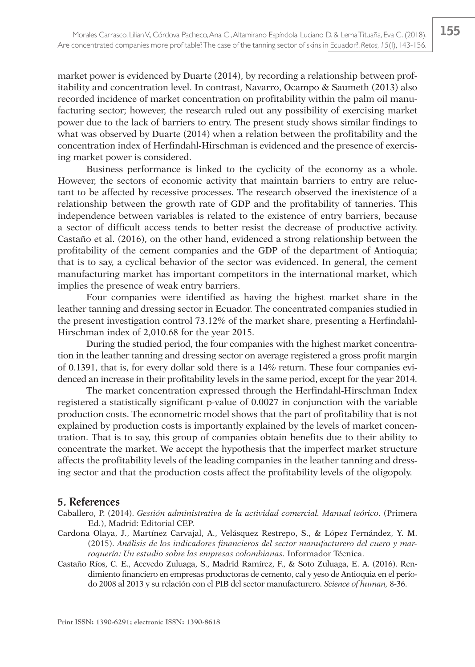market power is evidenced by Duarte (2014), by recording a relationship between profitability and concentration level. In contrast, Navarro, Ocampo & Saumeth (2013) also recorded incidence of market concentration on profitability within the palm oil manufacturing sector; however, the research ruled out any possibility of exercising market power due to the lack of barriers to entry. The present study shows similar findings to what was observed by Duarte (2014) when a relation between the profitability and the concentration index of Herfindahl-Hirschman is evidenced and the presence of exercising market power is considered.

Business performance is linked to the cyclicity of the economy as a whole. However, the sectors of economic activity that maintain barriers to entry are reluctant to be affected by recessive processes. The research observed the inexistence of a relationship between the growth rate of GDP and the profitability of tanneries. This independence between variables is related to the existence of entry barriers, because a sector of difficult access tends to better resist the decrease of productive activity. Castaño et al. (2016), on the other hand, evidenced a strong relationship between the profitability of the cement companies and the GDP of the department of Antioquia; that is to say, a cyclical behavior of the sector was evidenced. In general, the cement manufacturing market has important competitors in the international market, which implies the presence of weak entry barriers.

Four companies were identified as having the highest market share in the leather tanning and dressing sector in Ecuador. The concentrated companies studied in the present investigation control 73.12% of the market share, presenting a Herfindahl-Hirschman index of 2,010.68 for the year 2015.

During the studied period, the four companies with the highest market concentration in the leather tanning and dressing sector on average registered a gross profit margin of 0.1391, that is, for every dollar sold there is a 14% return. These four companies evidenced an increase in their profitability levels in the same period, except for the year 2014.

The market concentration expressed through the Herfindahl-Hirschman Index registered a statistically significant p-value of 0.0027 in conjunction with the variable production costs. The econometric model shows that the part of profitability that is not explained by production costs is importantly explained by the levels of market concentration. That is to say, this group of companies obtain benefits due to their ability to concentrate the market. We accept the hypothesis that the imperfect market structure affects the profitability levels of the leading companies in the leather tanning and dressing sector and that the production costs affect the profitability levels of the oligopoly.

### **5. References**

- Caballero, P. (2014). *Gestión administrativa de la actividad comercial. Manual teórico.* (Primera Ed.), Madrid: Editorial CEP.
- Cardona Olaya, J., Martínez Carvajal, A., Velásquez Restrepo, S., & López Fernández, Y. M. (2015). *Análisis de los indicadores financieros del sector manufacturero del cuero y marroquería: Un estudio sobre las empresas colombianas.* Informador Técnica.
- Castaño Ríos, C. E., Acevedo Zuluaga, S., Madrid Ramírez, F., & Soto Zuluaga, E. A. (2016). Rendimiento financiero en empresas productoras de cemento, cal y yeso de Antioquia en el período 2008 al 2013 y su relación con el PIB del sector manufacturero. *Science of human,* 8-36.